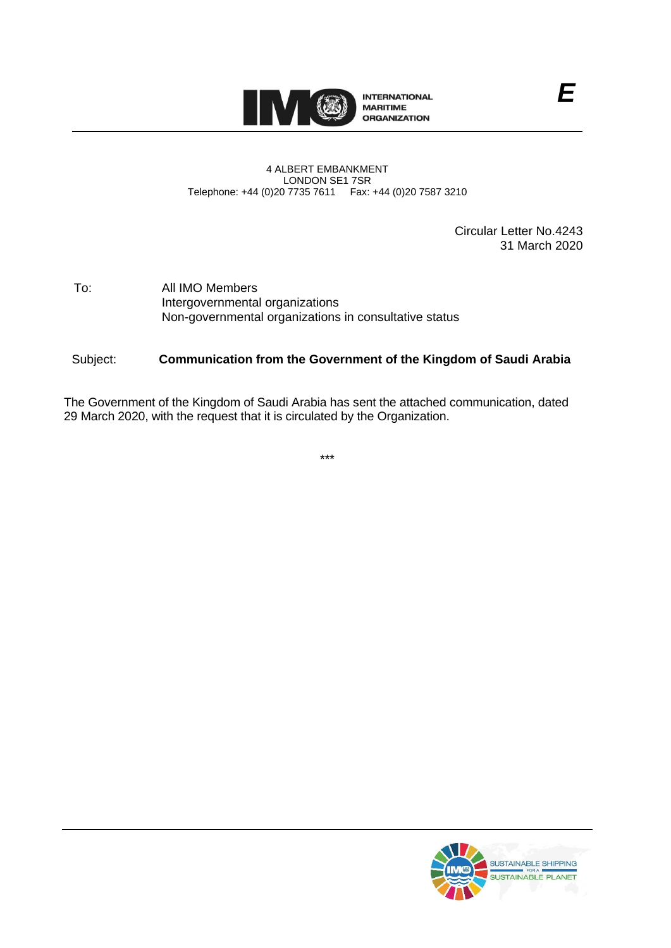

#### 4 ALBERT EMBANKMENT LONDON SE1 7SR Telephone: +44 (0)20 7735 7611 Fax: +44 (0)20 7587 3210

Circular Letter No.4243 31 March 2020

*E*

To: All IMO Members Intergovernmental organizations Non-governmental organizations in consultative status

## Subject: **Communication from the Government of the Kingdom of Saudi Arabia**

The Government of the Kingdom of Saudi Arabia has sent the attached communication, dated 29 March 2020, with the request that it is circulated by the Organization.

\*\*\*

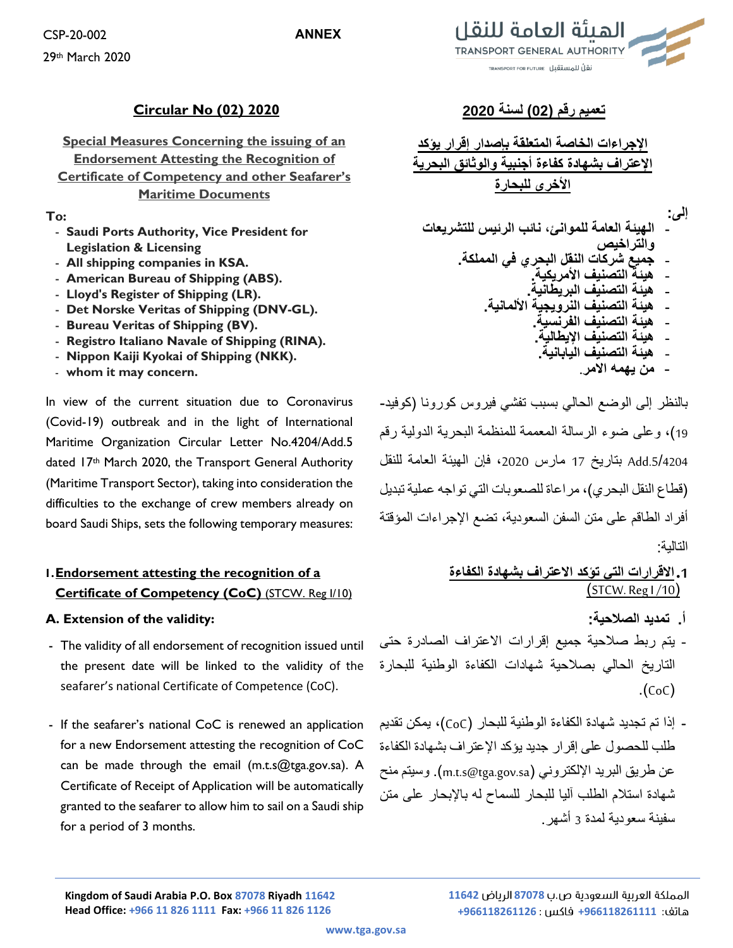## **ANNEX**

CSP-20-002 29th March 2020

## **تعميم رقم )02( لسنة 2020 2020 (02) No Circular**

**Special Measures Concerning the issuing of an Endorsement Attesting the Recognition of Certificate of Competency and other Seafarer's Maritime Documents**

## **To:**

- **Saudi Ports Authority, Vice President for Legislation & Licensing**
- **All shipping companies in KSA.**
- **American Bureau of Shipping (ABS).**
- **Lloyd's Register of Shipping (LR).**
- **Det Norske Veritas of Shipping (DNV-GL).**
- **Bureau Veritas of Shipping (BV).**
- **Registro Italiano Navale of Shipping (RINA).**
- **Nippon Kaiji Kyokai of Shipping (NKK).**
- **whom it may concern.**

In view of the current situation due to Coronavirus (Covid-19) outbreak and in the light of International Maritime Organization Circular Letter No.4204/Add.5 dated 17th March 2020, the Transport General Authority (Maritime Transport Sector), taking into consideration the difficulties to the exchange of crew members already on board Saudi Ships, sets the following temporary measures:

# **1.Endorsement attesting the recognition of a Certificate of Competency (CoC)** (STCW. Reg I/10)

## **A. Extension of the validity:**

- The validity of all endorsement of recognition issued until the present date will be linked to the validity of the seafarer's national Certificate of Competence (CoC).
- If the seafarer's national CoC is renewed an application for a new Endorsement attesting the recognition of CoC can be made through the email (m.t.s@tga.gov.sa). A Certificate of Receipt of Application will be automatically granted to the seafarer to allow him to sail on a Saudi ship for a period of 3 months.



**اإلجراءات الخاصة المتعلقة بإصدار إقرار يؤكد اإلعتراف بشهادة كفاءة أجنبية والوثائق البحرية األخرى للبحارة**

**إلى:**

- **الهيئة العامة للموانئ، نائب الرئيس للتشريعات والتراخيص** - **جميع شركات النقل البحري في المملكة.** - **هيئة التصنيف األمريكية.** - **هيئة التصنيف البريطانية.** - **هيئة التصنيف النرويجية األلمانية.** - **هيئة التصنيف الفرنسية.** - **هيئة التصنيف اإليطالية.**
	- **هيئة التصنيف اليابانية.**
		- **من يهمه االمر.**

بالنظر إلى الوضع الحالي بسبب تفشي فيروس كورونا )كوفيد- 19(، وعلى ضوء الرسالة المعممة للمنظمة البحرية الدولية رقم .5/4204Add بتاريخ 17 مارس ،2020 فإن الهيئة العامة للنقل )قطاع النقل البحري(، مراعاة للصعوبات التي تواجه عملية تبديل أفراد الطاقم على متن السفن السعودية، تضع اإلجراءات المؤقتة التالية:

# **.1االقرارات التي تؤكد االعتراف بشهادة الكفاءة**  $\left(\frac{\text{STCW.} \text{RegI} / 10}{\text{STCW.}}\right)$

- **أ. تمديد الصالحية:**
- يتم ربط صالحية جميع إقرارات االعتراف الصادرة حتى التاريخ الحالي بصالحية شهادات الكفاءة الوطنية للبحارة  $(CoC)$
- إذا تم تجديد شهادة الكفاءة الوطنية للبحار )CoC)، يمكن تقديم طلب للحصول على إقرار جديد يؤكد اإلعتراف بشهادة الكفاءة عن طريق البريد الإلكتروني (m.t.s@tga.gov.sa). وسيتم منح شهادة استالم الطلب آليا للبحار للسماح له باإلبحار على متن سفينة سعودية لمدة 3 أشهر.